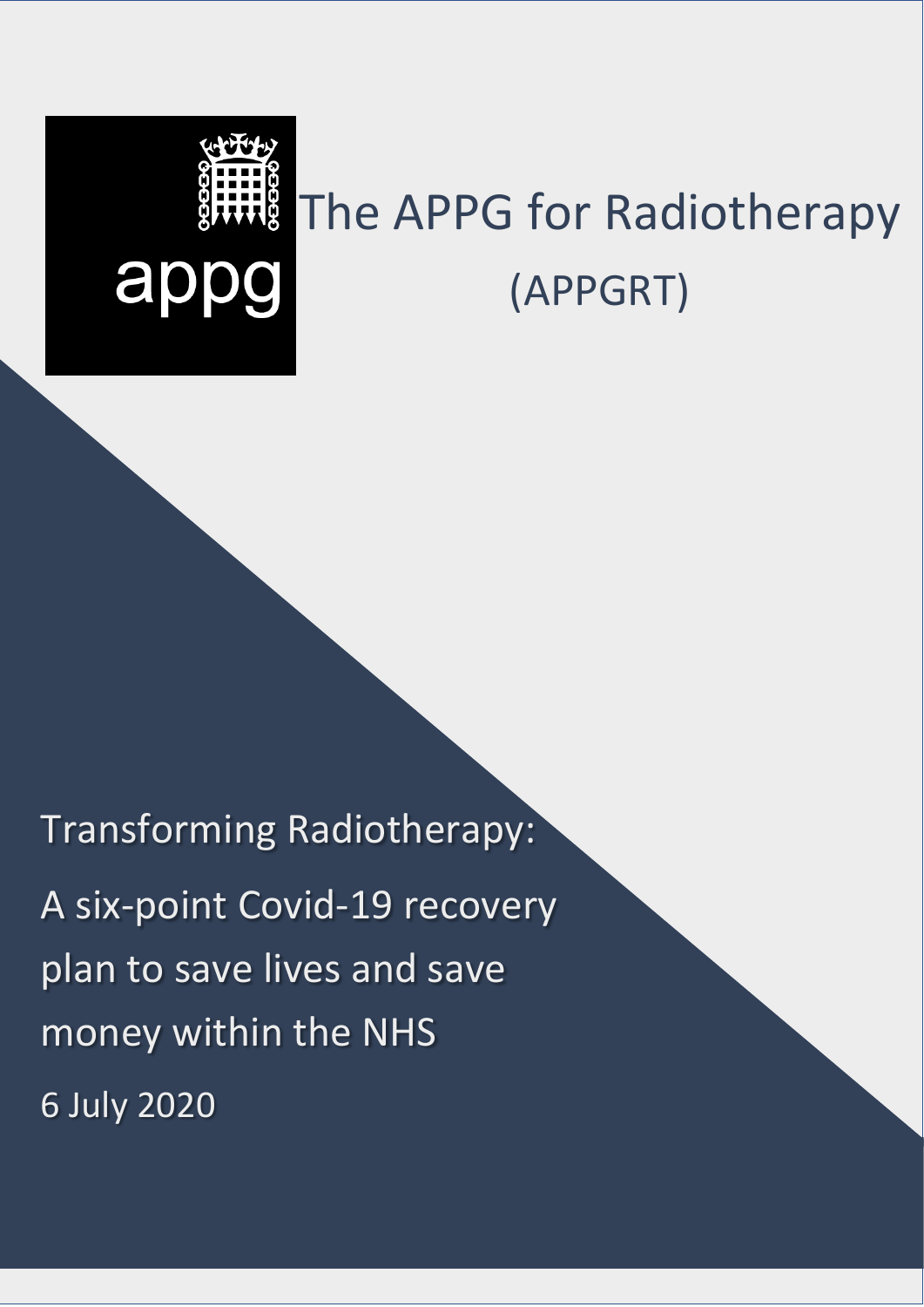# The APPG for Radiotherapy appg (APPGRT)

Transforming Radiotherapy:

A six-point Covid-19 recovery plan to save lives and save money within the NHS 6 July 2020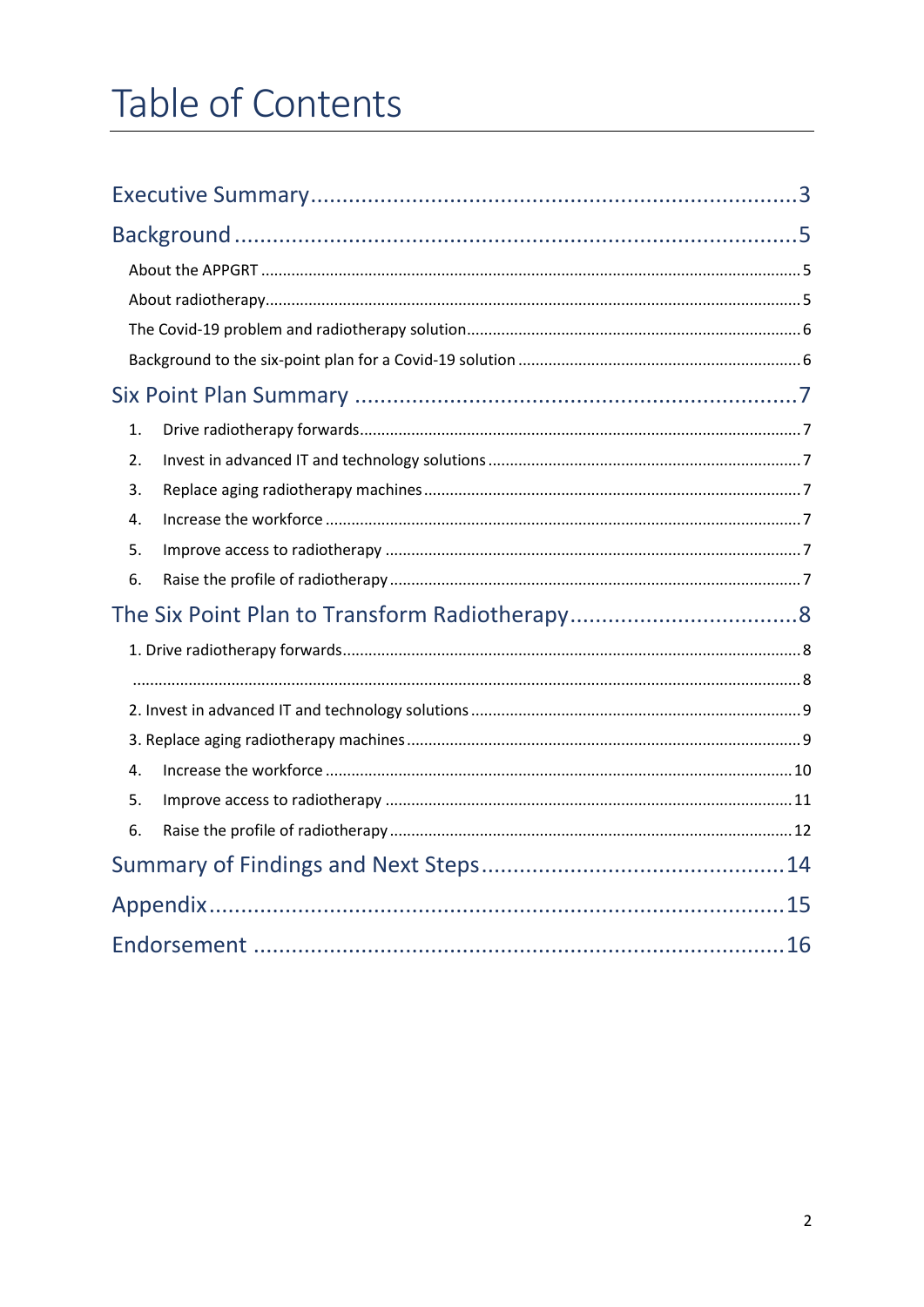# Table of Contents

| 1. |  |
|----|--|
| 2. |  |
| 3. |  |
| 4. |  |
| 5. |  |
| 6. |  |
|    |  |
|    |  |
|    |  |
|    |  |
|    |  |
| 4. |  |
| 5. |  |
| 6. |  |
|    |  |
|    |  |
|    |  |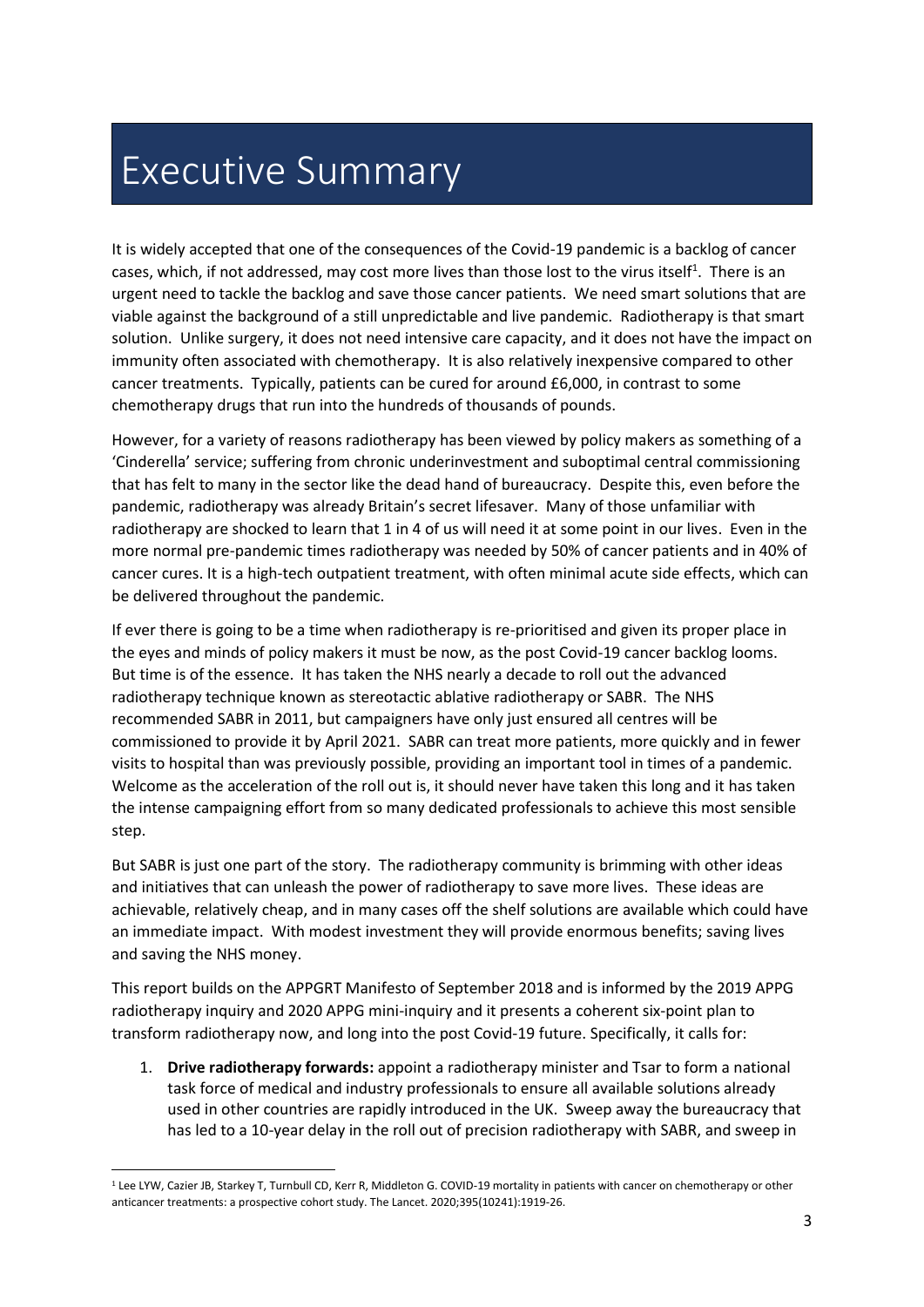# Executive Summary

It is widely accepted that one of the consequences of the Covid-19 pandemic is a backlog of cancer cases, which, if not addressed, may cost more lives than those lost to the virus itself<sup>1</sup>. There is an urgent need to tackle the backlog and save those cancer patients. We need smart solutions that are viable against the background of a still unpredictable and live pandemic. Radiotherapy is that smart solution. Unlike surgery, it does not need intensive care capacity, and it does not have the impact on immunity often associated with chemotherapy. It is also relatively inexpensive compared to other cancer treatments. Typically, patients can be cured for around £6,000, in contrast to some chemotherapy drugs that run into the hundreds of thousands of pounds.

However, for a variety of reasons radiotherapy has been viewed by policy makers as something of a 'Cinderella' service; suffering from chronic underinvestment and suboptimal central commissioning that has felt to many in the sector like the dead hand of bureaucracy. Despite this, even before the pandemic, radiotherapy was already Britain's secret lifesaver. Many of those unfamiliar with radiotherapy are shocked to learn that 1 in 4 of us will need it at some point in our lives. Even in the more normal pre-pandemic times radiotherapy was needed by 50% of cancer patients and in 40% of cancer cures. It is a high-tech outpatient treatment, with often minimal acute side effects, which can be delivered throughout the pandemic.

If ever there is going to be a time when radiotherapy is re-prioritised and given its proper place in the eyes and minds of policy makers it must be now, as the post Covid-19 cancer backlog looms. But time is of the essence. It has taken the NHS nearly a decade to roll out the advanced radiotherapy technique known as stereotactic ablative radiotherapy or SABR. The NHS recommended SABR in 2011, but campaigners have only just ensured all centres will be commissioned to provide it by April 2021. SABR can treat more patients, more quickly and in fewer visits to hospital than was previously possible, providing an important tool in times of a pandemic. Welcome as the acceleration of the roll out is, it should never have taken this long and it has taken the intense campaigning effort from so many dedicated professionals to achieve this most sensible step.

But SABR is just one part of the story. The radiotherapy community is brimming with other ideas and initiatives that can unleash the power of radiotherapy to save more lives. These ideas are achievable, relatively cheap, and in many cases off the shelf solutions are available which could have an immediate impact. With modest investment they will provide enormous benefits; saving lives and saving the NHS money.

This report builds on the APPGRT Manifesto of September 2018 and is informed by the 2019 APPG radiotherapy inquiry and 2020 APPG mini-inquiry and it presents a coherent six-point plan to transform radiotherapy now, and long into the post Covid-19 future. Specifically, it calls for:

1. **Drive radiotherapy forwards:** appoint a radiotherapy minister and Tsar to form a national task force of medical and industry professionals to ensure all available solutions already used in other countries are rapidly introduced in the UK. Sweep away the bureaucracy that has led to a 10-year delay in the roll out of precision radiotherapy with SABR, and sweep in

<sup>1</sup> Lee LYW, Cazier JB, Starkey T, Turnbull CD, Kerr R, Middleton G. COVID-19 mortality in patients with cancer on chemotherapy or other anticancer treatments: a prospective cohort study. The Lancet. 2020;395(10241):1919-26.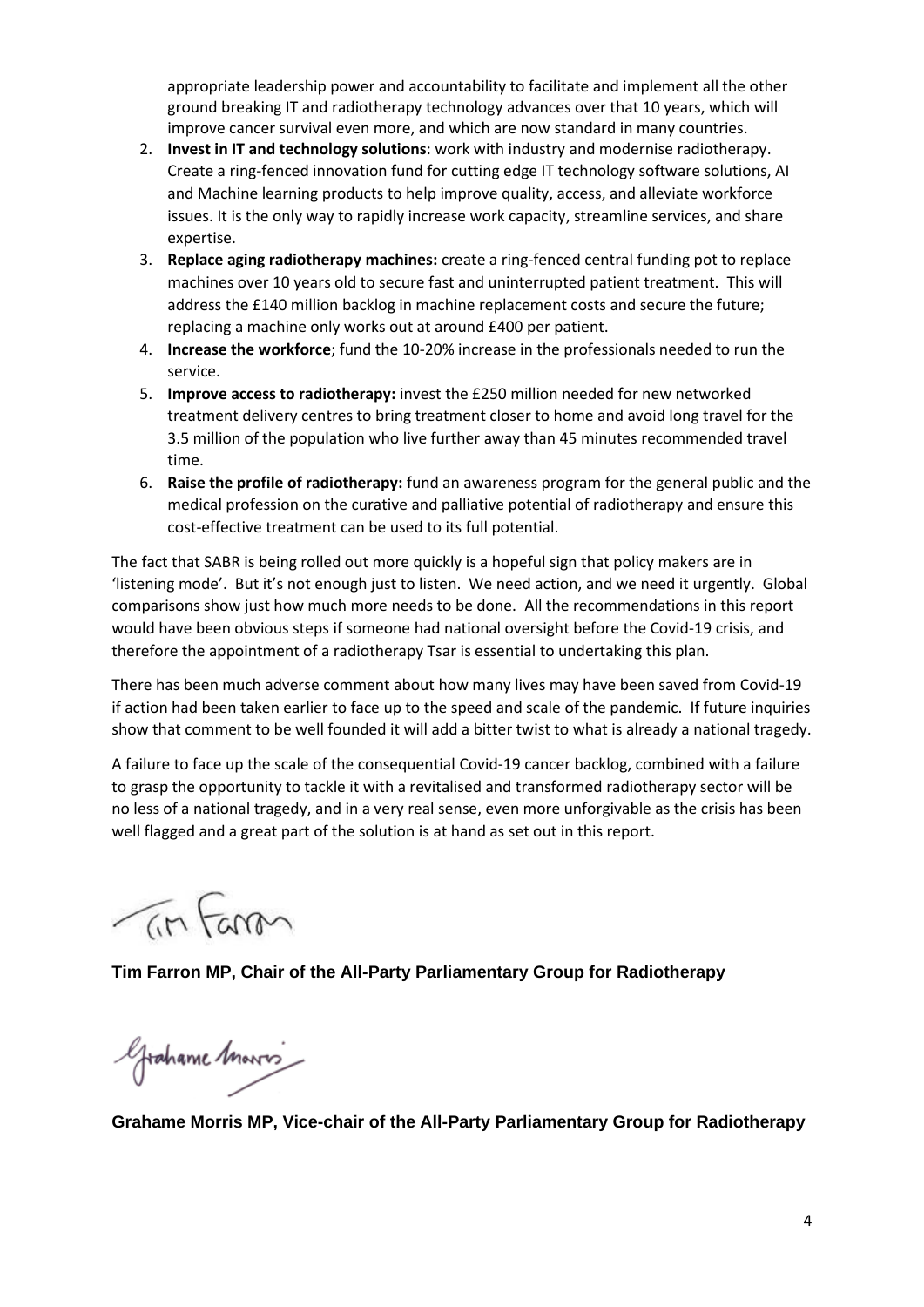appropriate leadership power and accountability to facilitate and implement all the other ground breaking IT and radiotherapy technology advances over that 10 years, which will improve cancer survival even more, and which are now standard in many countries.

- 2. **Invest in IT and technology solutions**: work with industry and modernise radiotherapy. Create a ring-fenced innovation fund for cutting edge IT technology software solutions, AI and Machine learning products to help improve quality, access, and alleviate workforce issues. It is the only way to rapidly increase work capacity, streamline services, and share expertise.
- 3. **Replace aging radiotherapy machines:** create a ring-fenced central funding pot to replace machines over 10 years old to secure fast and uninterrupted patient treatment. This will address the £140 million backlog in machine replacement costs and secure the future; replacing a machine only works out at around £400 per patient.
- 4. **Increase the workforce**; fund the 10-20% increase in the professionals needed to run the service.
- 5. **Improve access to radiotherapy:** invest the £250 million needed for new networked treatment delivery centres to bring treatment closer to home and avoid long travel for the 3.5 million of the population who live further away than 45 minutes recommended travel time.
- 6. **Raise the profile of radiotherapy:** fund an awareness program for the general public and the medical profession on the curative and palliative potential of radiotherapy and ensure this cost-effective treatment can be used to its full potential.

The fact that SABR is being rolled out more quickly is a hopeful sign that policy makers are in 'listening mode'. But it's not enough just to listen. We need action, and we need it urgently. Global comparisons show just how much more needs to be done. All the recommendations in this report would have been obvious steps if someone had national oversight before the Covid-19 crisis, and therefore the appointment of a radiotherapy Tsar is essential to undertaking this plan.

There has been much adverse comment about how many lives may have been saved from Covid-19 if action had been taken earlier to face up to the speed and scale of the pandemic. If future inquiries show that comment to be well founded it will add a bitter twist to what is already a national tragedy.

A failure to face up the scale of the consequential Covid-19 cancer backlog, combined with a failure to grasp the opportunity to tackle it with a revitalised and transformed radiotherapy sector will be no less of a national tragedy, and in a very real sense, even more unforgivable as the crisis has been well flagged and a great part of the solution is at hand as set out in this report.

 $7m$  Farm

**Tim Farron MP, Chair of the All-Party Parliamentary Group for Radiotherapy**

Grahame Marris

**Grahame Morris MP, Vice-chair of the All-Party Parliamentary Group for Radiotherapy**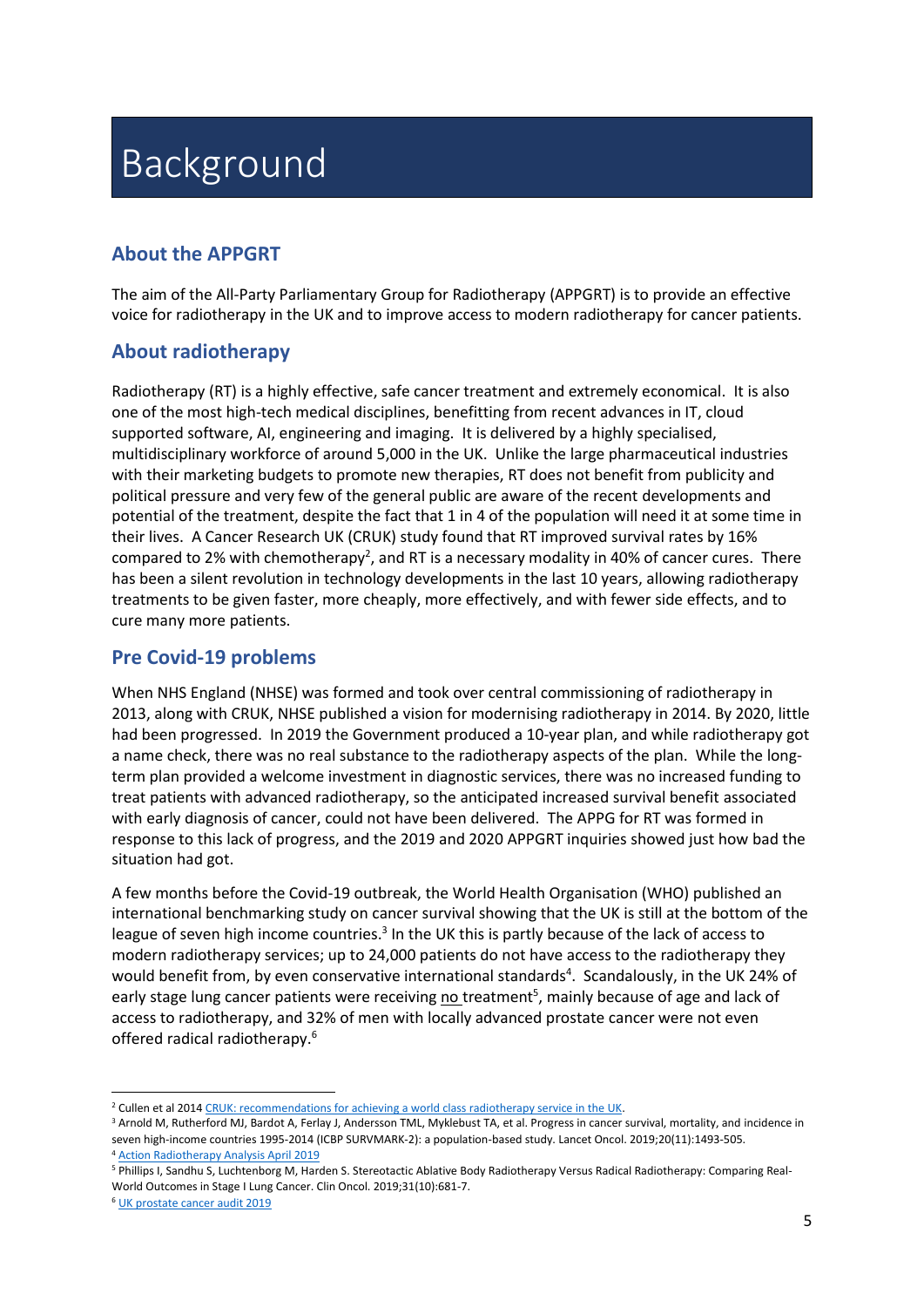# **Background**

# **About the APPGRT**

The aim of the All-Party Parliamentary Group for Radiotherapy (APPGRT) is to provide an effective voice for radiotherapy in the UK and to improve access to modern radiotherapy for cancer patients.

# **About radiotherapy**

Radiotherapy (RT) is a highly effective, safe cancer treatment and extremely economical. It is also one of the most high-tech medical disciplines, benefitting from recent advances in IT, cloud supported software, AI, engineering and imaging. It is delivered by a highly specialised, multidisciplinary workforce of around 5,000 in the UK. Unlike the large pharmaceutical industries with their marketing budgets to promote new therapies, RT does not benefit from publicity and political pressure and very few of the general public are aware of the recent developments and potential of the treatment, despite the fact that 1 in 4 of the population will need it at some time in their lives. A Cancer Research UK (CRUK) study found that RT improved survival rates by 16% compared to 2% with chemotherapy<sup>2</sup>, and RT is a necessary modality in 40% of cancer cures. There has been a silent revolution in technology developments in the last 10 years, allowing radiotherapy treatments to be given faster, more cheaply, more effectively, and with fewer side effects, and to cure many more patients.

# **Pre Covid-19 problems**

When NHS England (NHSE) was formed and took over central commissioning of radiotherapy in 2013, along with CRUK, NHSE published a vision for modernising radiotherapy in 2014. By 2020, little had been progressed. In 2019 the Government produced a 10-year plan, and while radiotherapy got a name check, there was no real substance to the radiotherapy aspects of the plan. While the longterm plan provided a welcome investment in diagnostic services, there was no increased funding to treat patients with advanced radiotherapy, so the anticipated increased survival benefit associated with early diagnosis of cancer, could not have been delivered. The APPG for RT was formed in response to this lack of progress, and the 2019 and 2020 APPGRT inquiries showed just how bad the situation had got.

A few months before the Covid-19 outbreak, the World Health Organisation (WHO) published an international benchmarking study on cancer survival showing that the UK is still at the bottom of the league of seven high income countries.<sup>3</sup> In the UK this is partly because of the lack of access to modern radiotherapy services; up to 24,000 patients do not have access to the radiotherapy they would benefit from, by even conservative international standards<sup>4</sup>. Scandalously, in the UK 24% of early stage lung cancer patients were receiving no treatment<sup>5</sup>, mainly because of age and lack of access to radiotherapy, and 32% of men with locally advanced prostate cancer were not even offered radical radiotherapy.<sup>6</sup>

<sup>&</sup>lt;sup>2</sup> Cullen et al 201[4 CRUK: recommendations for achieving a world class radiotherapy service in the UK.](https://www.cancerresearchuk.org/about-us/we-develop-policy/our-policy-on-access-to-cancer-treatments/our-policy-on-radiotherapy)

<sup>&</sup>lt;sup>3</sup> Arnold M, Rutherford MJ, Bardot A, Ferlay J, Andersson TML, Myklebust TA, et al. Progress in cancer survival, mortality, and incidence in seven high-income countries 1995-2014 (ICBP SURVMARK-2): a population-based study. Lancet Oncol. 2019;20(11):1493-505. <sup>4</sup> [Action Radiotherapy Analysis April 2019](https://ebf9be9c-890d-4dca-b67e-2c40c584e614.filesusr.com/ugd/4fcdc3_eb6f8f7f401247b993dc8455a87d4db9.pdf)

<sup>&</sup>lt;sup>5</sup> Phillips I, Sandhu S, Luchtenborg M, Harden S. Stereotactic Ablative Body Radiotherapy Versus Radical Radiotherapy: Comparing Real-World Outcomes in Stage I Lung Cancer. Clin Oncol. 2019;31(10):681-7.

<sup>6</sup> [UK prostate cancer audit 2019](https://www.npca.org.uk/content/uploads/2020/01/NPCA-Annual-Report-2019_090120.pdf)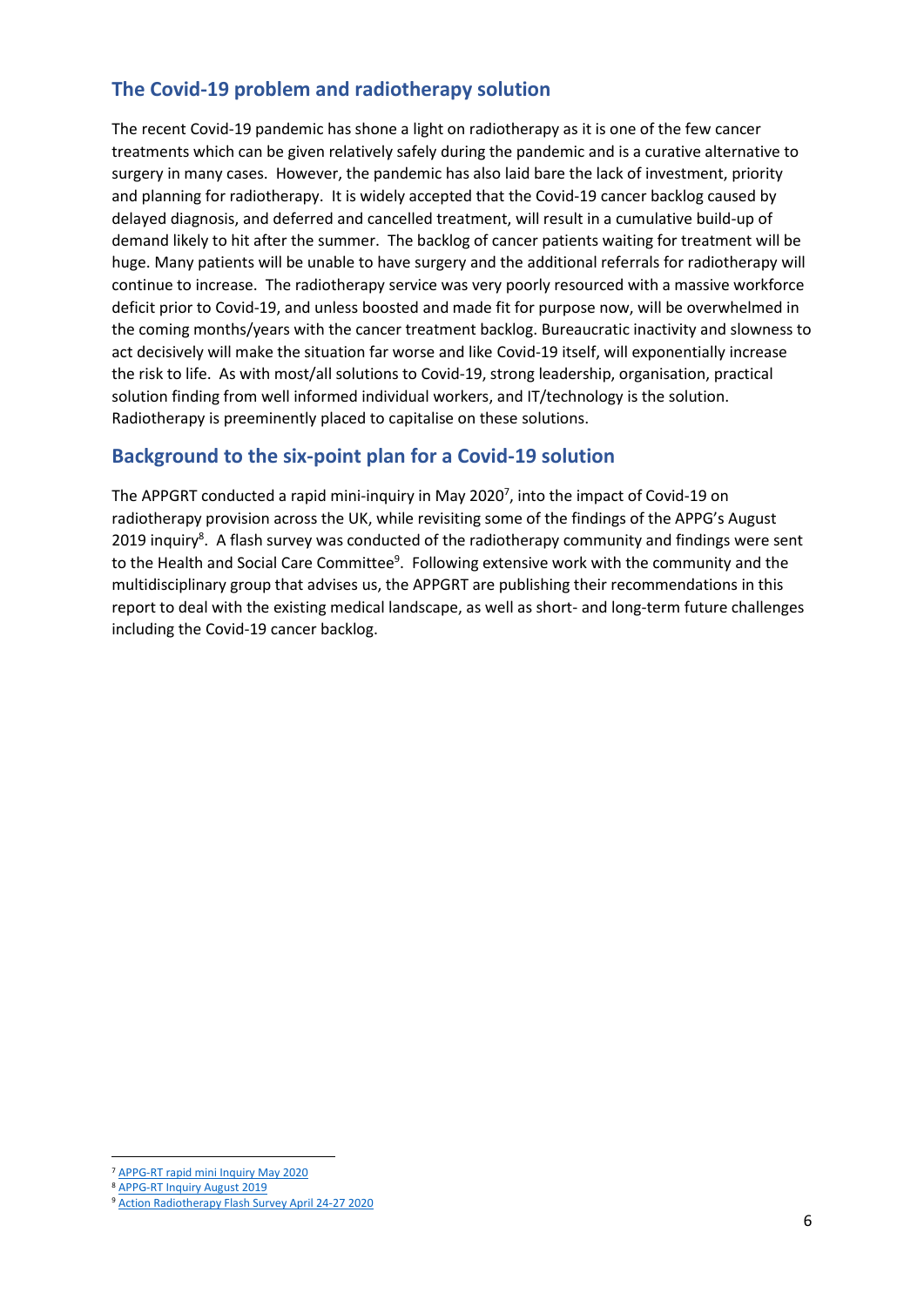# **The Covid-19 problem and radiotherapy solution**

The recent Covid-19 pandemic has shone a light on radiotherapy as it is one of the few cancer treatments which can be given relatively safely during the pandemic and is a curative alternative to surgery in many cases. However, the pandemic has also laid bare the lack of investment, priority and planning for radiotherapy. It is widely accepted that the Covid-19 cancer backlog caused by delayed diagnosis, and deferred and cancelled treatment, will result in a cumulative build-up of demand likely to hit after the summer. The backlog of cancer patients waiting for treatment will be huge. Many patients will be unable to have surgery and the additional referrals for radiotherapy will continue to increase. The radiotherapy service was very poorly resourced with a massive workforce deficit prior to Covid-19, and unless boosted and made fit for purpose now, will be overwhelmed in the coming months/years with the cancer treatment backlog. Bureaucratic inactivity and slowness to act decisively will make the situation far worse and like Covid-19 itself, will exponentially increase the risk to life. As with most/all solutions to Covid-19, strong leadership, organisation, practical solution finding from well informed individual workers, and IT/technology is the solution. Radiotherapy is preeminently placed to capitalise on these solutions.

### **Background to the six-point plan for a Covid-19 solution**

The APPGRT conducted a rapid mini-inquiry in May 2020<sup>7</sup>, into the impact of Covid-19 on radiotherapy provision across the UK, while revisiting some of the findings of the APPG's August 2019 inquiry<sup>8</sup>. A flash survey was conducted of the radiotherapy community and findings were sent to the Health and Social Care Committee<sup>9</sup>. Following extensive work with the community and the multidisciplinary group that advises us, the APPGRT are publishing their recommendations in this report to deal with the existing medical landscape, as well as short- and long-term future challenges including the Covid-19 cancer backlog.

<sup>7</sup> [APPG-RT rapid mini Inquiry May 2020](https://e8604b0e-5c16-4637-907f-3091e4443249.filesusr.com/ugd/b68571_eec1c8f1bd934717aa4c86a43b31092f.pdf)

<sup>8</sup> [APPG-RT Inquiry August 2019](https://e8604b0e-5c16-4637-907f-3091e4443249.filesusr.com/ugd/4fcdc3_bd0f7f4ffeb84dd384a7f115914c0000.pdf?index=true)

<sup>9</sup> [Action Radiotherapy Flash Survey April 24-27 2020](https://e8604b0e-5c16-4637-907f-3091e4443249.filesusr.com/ugd/b68571_8d3b1ea7673b40828c9bd91681c964c5.pdf)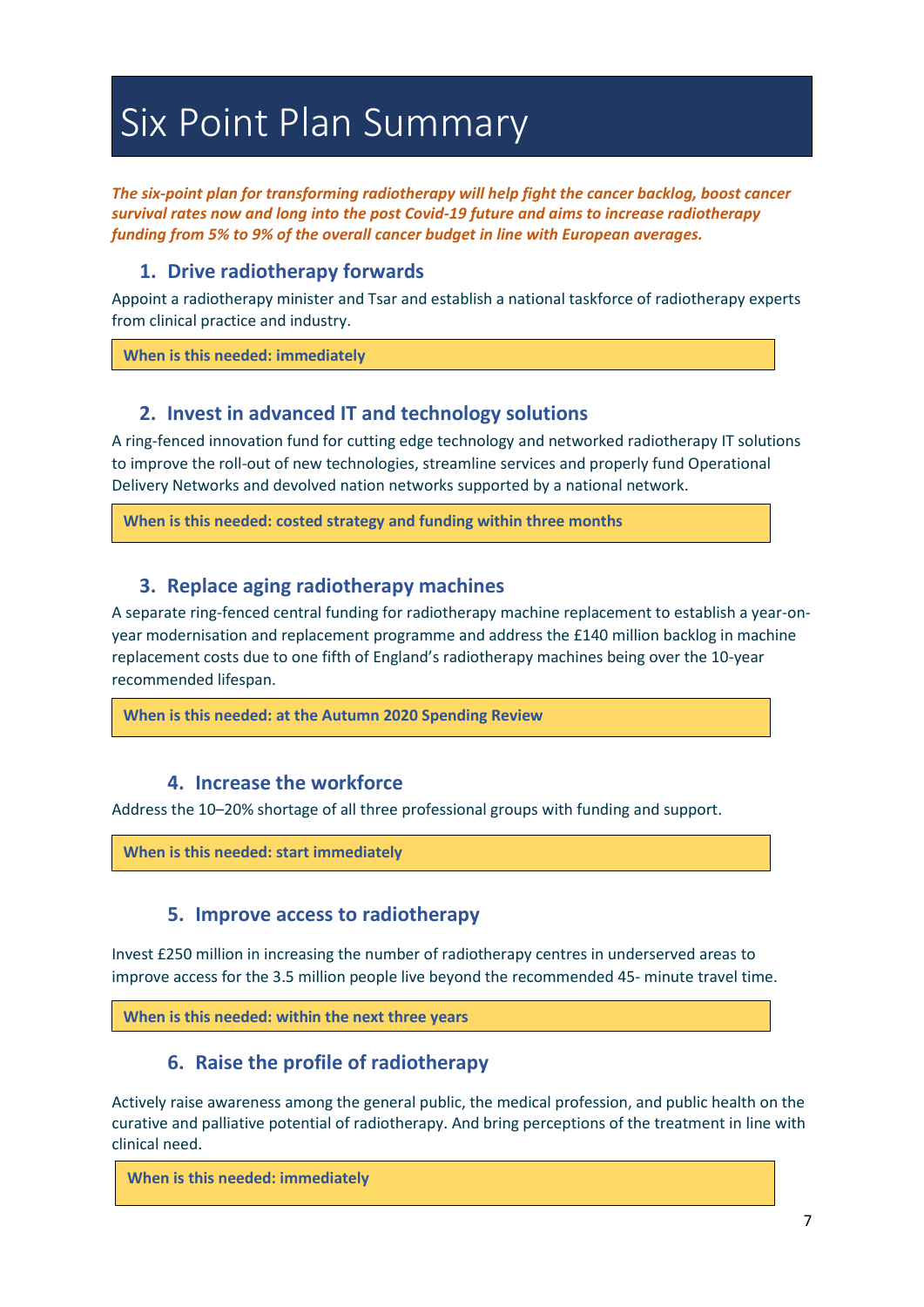# Six Point Plan Summary

*The six-point plan for transforming radiotherapy will help fight the cancer backlog, boost cancer survival rates now and long into the post Covid-19 future and aims to increase radiotherapy funding from 5% to 9% of the overall cancer budget in line with European averages.*

# **1. Drive radiotherapy forwards**

Appoint a radiotherapy minister and Tsar and establish a national taskforce of radiotherapy experts from clinical practice and industry.

**When is this needed: immediately**

# **2. Invest in advanced IT and technology solutions**

A ring-fenced innovation fund for cutting edge technology and networked radiotherapy IT solutions to improve the roll-out of new technologies, streamline services and properly fund Operational Delivery Networks and devolved nation networks supported by a national network.

**When is this needed: costed strategy and funding within three months**

# **3. Replace aging radiotherapy machines**

A separate ring-fenced central funding for radiotherapy machine replacement to establish a year-onyear modernisation and replacement programme and address the £140 million backlog in machine replacement costs due to one fifth of England's radiotherapy machines being over the 10-year recommended lifespan.

**When is this needed: at the Autumn 2020 Spending Review** 

# **4. Increase the workforce**

Address the 10–20% shortage of all three professional groups with funding and support.

**When is this needed: start immediately**

# **5. Improve access to radiotherapy**

Invest £250 million in increasing the number of radiotherapy centres in underserved areas to improve access for the 3.5 million people live beyond the recommended 45- minute travel time.

**When is this needed: within the next three years** 

# **6. Raise the profile of radiotherapy**

Actively raise awareness among the general public, the medical profession, and public health on the curative and palliative potential of radiotherapy. And bring perceptions of the treatment in line with clinical need.

**When is this needed: immediately**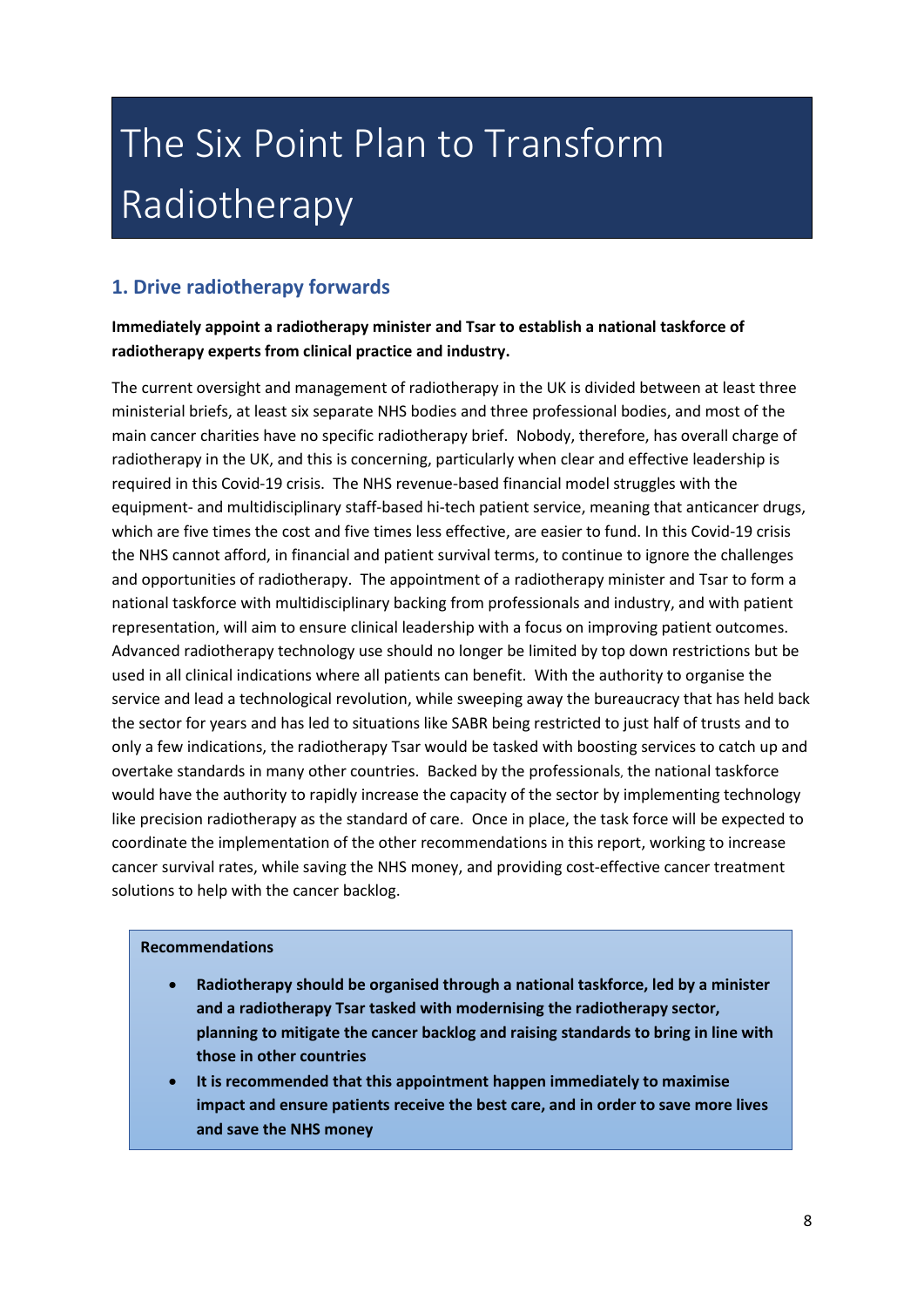# The Six Point Plan to Transform Radiotherapy

# **1. Drive radiotherapy forwards**

#### **Immediately appoint a radiotherapy minister and Tsar to establish a national taskforce of radiotherapy experts from clinical practice and industry.**

The current oversight and management of radiotherapy in the UK is divided between at least three ministerial briefs, at least six separate NHS bodies and three professional bodies, and most of the main cancer charities have no specific radiotherapy brief. Nobody, therefore, has overall charge of radiotherapy in the UK, and this is concerning, particularly when clear and effective leadership is required in this Covid-19 crisis. The NHS revenue-based financial model struggles with the equipment- and multidisciplinary staff-based hi-tech patient service, meaning that anticancer drugs, which are five times the cost and five times less effective, are easier to fund. In this Covid-19 crisis the NHS cannot afford, in financial and patient survival terms, to continue to ignore the challenges and opportunities of radiotherapy. The appointment of a radiotherapy minister and Tsar to form a national taskforce with multidisciplinary backing from professionals and industry, and with patient representation, will aim to ensure clinical leadership with a focus on improving patient outcomes. Advanced radiotherapy technology use should no longer be limited by top down restrictions but be used in all clinical indications where all patients can benefit. With the authority to organise the service and lead a technological revolution, while sweeping away the bureaucracy that has held back the sector for years and has led to situations like SABR being restricted to just half of trusts and to only a few indications, the radiotherapy Tsar would be tasked with boosting services to catch up and overtake standards in many other countries. Backed by the professionals, the national taskforce would have the authority to rapidly increase the capacity of the sector by implementing technology like precision radiotherapy as the standard of care. Once in place, the task force will be expected to coordinate the implementation of the other recommendations in this report, working to increase cancer survival rates, while saving the NHS money, and providing cost-effective cancer treatment solutions to help with the cancer backlog.

#### **Recommendations**

- **Radiotherapy should be organised through a national taskforce, led by a minister and a radiotherapy Tsar tasked with modernising the radiotherapy sector, planning to mitigate the cancer backlog and raising standards to bring in line with those in other countries**
- **It is recommended that this appointment happen immediately to maximise impact and ensure patients receive the best care, and in order to save more lives and save the NHS money**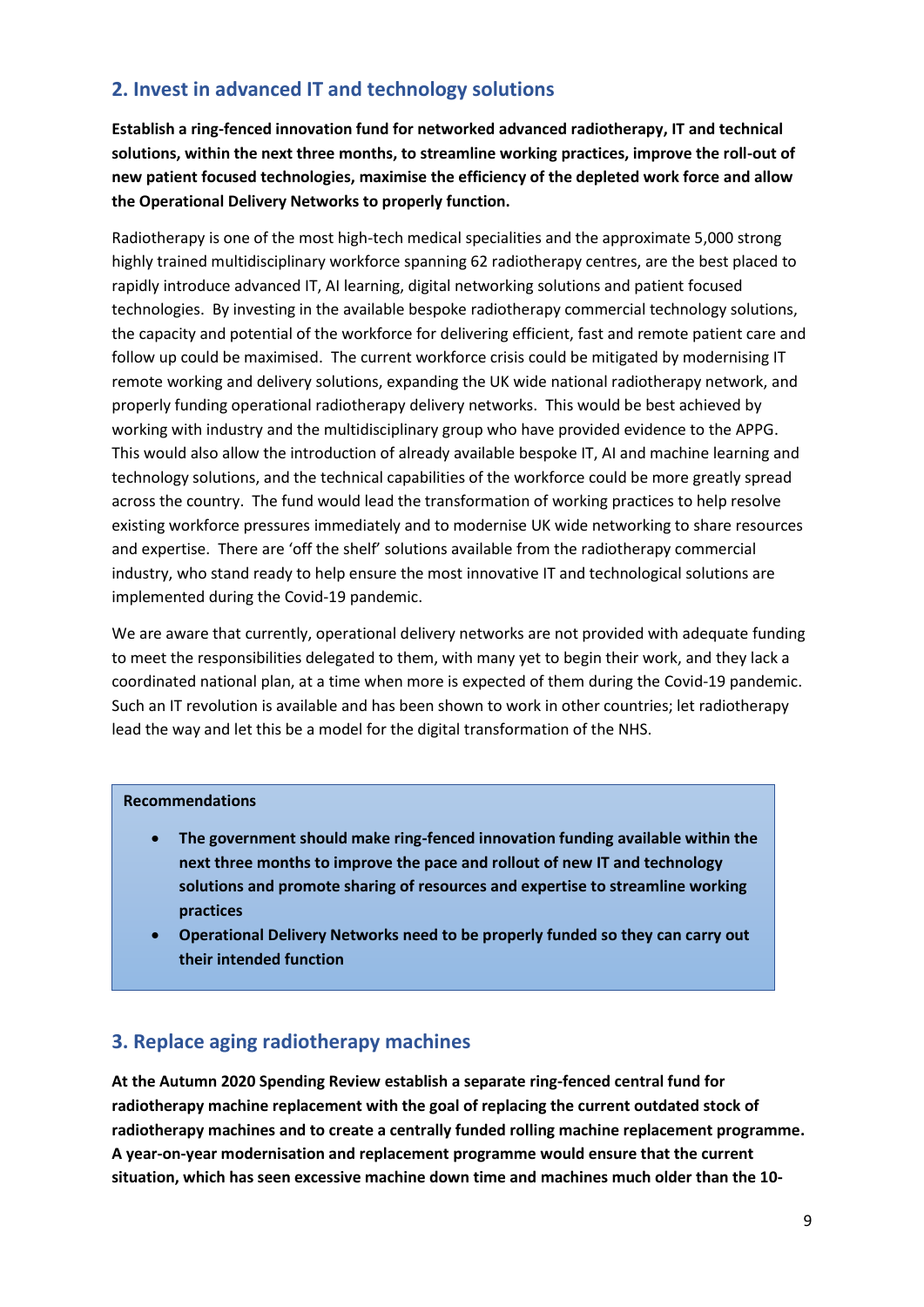# **2. Invest in advanced IT and technology solutions**

**Establish a ring-fenced innovation fund for networked advanced radiotherapy, IT and technical solutions, within the next three months, to streamline working practices, improve the roll-out of new patient focused technologies, maximise the efficiency of the depleted work force and allow the Operational Delivery Networks to properly function.**

Radiotherapy is one of the most high-tech medical specialities and the approximate 5,000 strong highly trained multidisciplinary workforce spanning 62 radiotherapy centres, are the best placed to rapidly introduce advanced IT, AI learning, digital networking solutions and patient focused technologies. By investing in the available bespoke radiotherapy commercial technology solutions, the capacity and potential of the workforce for delivering efficient, fast and remote patient care and follow up could be maximised. The current workforce crisis could be mitigated by modernising IT remote working and delivery solutions, expanding the UK wide national radiotherapy network, and properly funding operational radiotherapy delivery networks. This would be best achieved by working with industry and the multidisciplinary group who have provided evidence to the APPG. This would also allow the introduction of already available bespoke IT, AI and machine learning and technology solutions, and the technical capabilities of the workforce could be more greatly spread across the country. The fund would lead the transformation of working practices to help resolve existing workforce pressures immediately and to modernise UK wide networking to share resources and expertise. There are 'off the shelf' solutions available from the radiotherapy commercial industry, who stand ready to help ensure the most innovative IT and technological solutions are implemented during the Covid-19 pandemic.

We are aware that currently, operational delivery networks are not provided with adequate funding to meet the responsibilities delegated to them, with many yet to begin their work, and they lack a coordinated national plan, at a time when more is expected of them during the Covid-19 pandemic. Such an IT revolution is available and has been shown to work in other countries; let radiotherapy lead the way and let this be a model for the digital transformation of the NHS.

#### **Recommendations**

- **The government should make ring-fenced innovation funding available within the next three months to improve the pace and rollout of new IT and technology solutions and promote sharing of resources and expertise to streamline working practices**
- **Operational Delivery Networks need to be properly funded so they can carry out their intended function**

# **3. Replace aging radiotherapy machines**

**At the Autumn 2020 Spending Review establish a separate ring-fenced central fund for radiotherapy machine replacement with the goal of replacing the current outdated stock of radiotherapy machines and to create a centrally funded rolling machine replacement programme. A year-on-year modernisation and replacement programme would ensure that the current situation, which has seen excessive machine down time and machines much older than the 10-**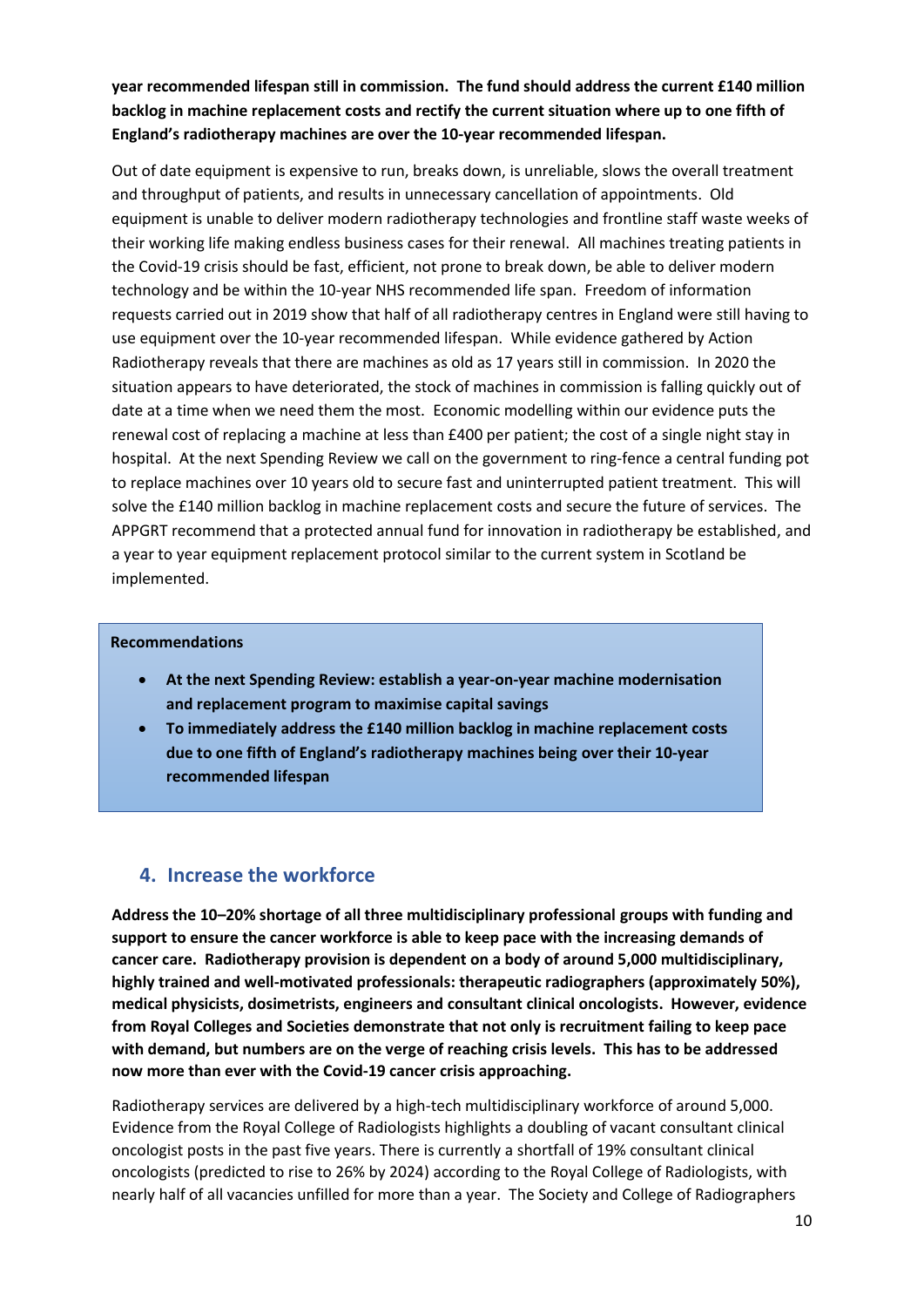#### **year recommended lifespan still in commission. The fund should address the current £140 million backlog in machine replacement costs and rectify the current situation where up to one fifth of England's radiotherapy machines are over the 10-year recommended lifespan.**

Out of date equipment is expensive to run, breaks down, is unreliable, slows the overall treatment and throughput of patients, and results in unnecessary cancellation of appointments. Old equipment is unable to deliver modern radiotherapy technologies and frontline staff waste weeks of their working life making endless business cases for their renewal. All machines treating patients in the Covid-19 crisis should be fast, efficient, not prone to break down, be able to deliver modern technology and be within the 10-year NHS recommended life span. Freedom of information requests carried out in 2019 show that half of all radiotherapy centres in England were still having to use equipment over the 10-year recommended lifespan. While evidence gathered by Action Radiotherapy reveals that there are machines as old as 17 years still in commission. In 2020 the situation appears to have deteriorated, the stock of machines in commission is falling quickly out of date at a time when we need them the most. Economic modelling within our evidence puts the renewal cost of replacing a machine at less than £400 per patient; the cost of a single night stay in hospital. At the next Spending Review we call on the government to ring-fence a central funding pot to replace machines over 10 years old to secure fast and uninterrupted patient treatment. This will solve the £140 million backlog in machine replacement costs and secure the future of services. The APPGRT recommend that a protected annual fund for innovation in radiotherapy be established, and a year to year equipment replacement protocol similar to the current system in Scotland be implemented.

#### **Recommendations**

- **At the next Spending Review: establish a year-on-year machine modernisation and replacement program to maximise capital savings**
- **To immediately address the £140 million backlog in machine replacement costs due to one fifth of England's radiotherapy machines being over their 10-year recommended lifespan**

# **4. Increase the workforce**

**Address the 10–20% shortage of all three multidisciplinary professional groups with funding and support to ensure the cancer workforce is able to keep pace with the increasing demands of cancer care. Radiotherapy provision is dependent on a body of around 5,000 multidisciplinary, highly trained and well-motivated professionals: therapeutic radiographers (approximately 50%), medical physicists, dosimetrists, engineers and consultant clinical oncologists. However, evidence from Royal Colleges and Societies demonstrate that not only is recruitment failing to keep pace with demand, but numbers are on the verge of reaching crisis levels. This has to be addressed now more than ever with the Covid-19 cancer crisis approaching.**

Radiotherapy services are delivered by a high-tech multidisciplinary workforce of around 5,000. Evidence from the Royal College of Radiologists highlights a doubling of vacant consultant clinical oncologist posts in the past five years. There is currently a shortfall of 19% consultant clinical oncologists (predicted to rise to 26% by 2024) according to the Royal College of Radiologists, with nearly half of all vacancies unfilled for more than a year. The Society and College of Radiographers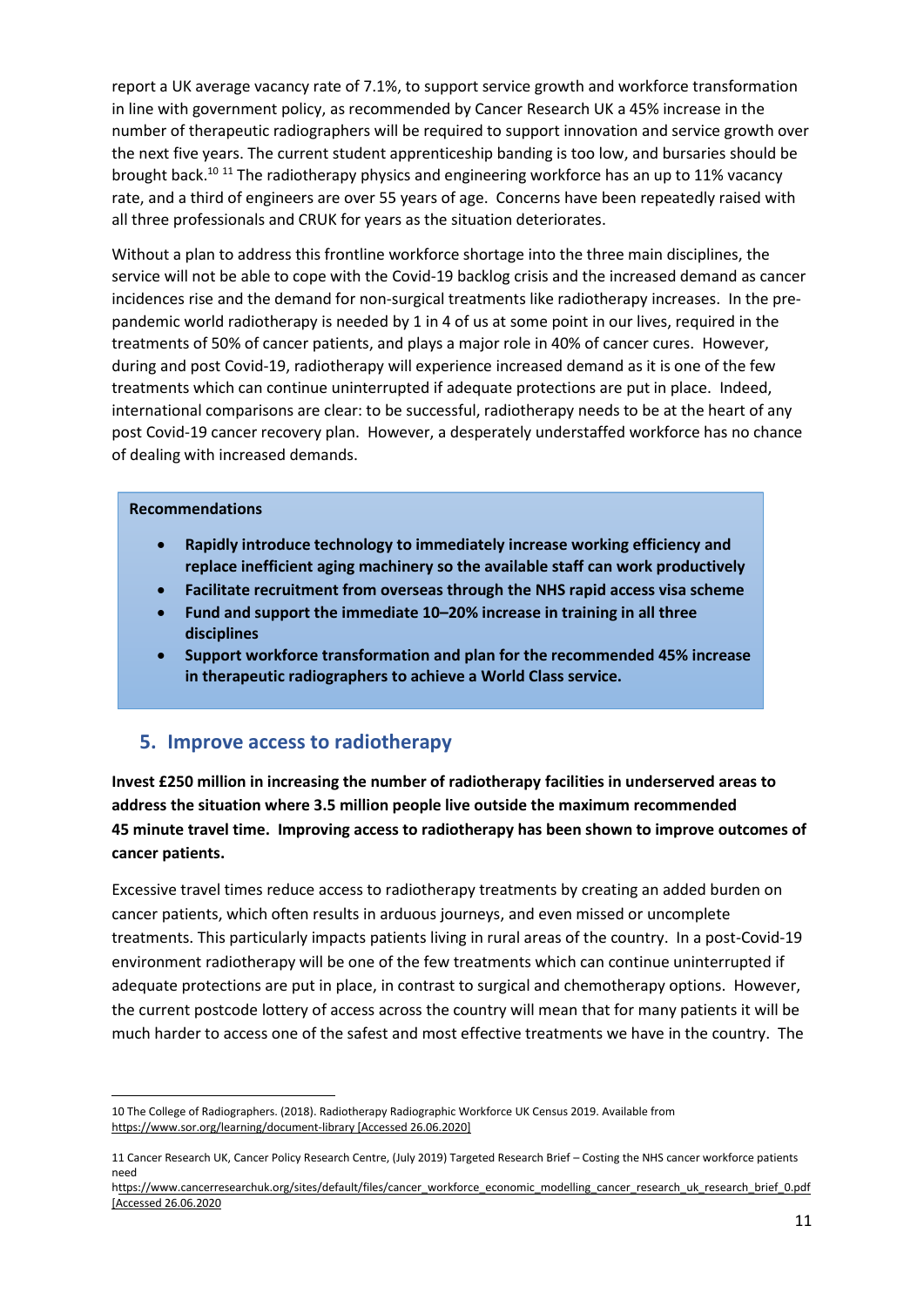report a UK average vacancy rate of 7.1%, to support service growth and workforce transformation in line with government policy, as recommended by Cancer Research UK a 45% increase in the number of therapeutic radiographers will be required to support innovation and service growth over the next five years. The current student apprenticeship banding is too low, and bursaries should be brought back.<sup>10 11</sup> The radiotherapy physics and engineering workforce has an up to 11% vacancy rate, and a third of engineers are over 55 years of age. Concerns have been repeatedly raised with all three professionals and CRUK for years as the situation deteriorates.

Without a plan to address this frontline workforce shortage into the three main disciplines, the service will not be able to cope with the Covid-19 backlog crisis and the increased demand as cancer incidences rise and the demand for non-surgical treatments like radiotherapy increases. In the prepandemic world radiotherapy is needed by 1 in 4 of us at some point in our lives, required in the treatments of 50% of cancer patients, and plays a major role in 40% of cancer cures. However, during and post Covid-19, radiotherapy will experience increased demand as it is one of the few treatments which can continue uninterrupted if adequate protections are put in place. Indeed, international comparisons are clear: to be successful, radiotherapy needs to be at the heart of any post Covid-19 cancer recovery plan. However, a desperately understaffed workforce has no chance of dealing with increased demands.

#### **Recommendations**

- **Rapidly introduce technology to immediately increase working efficiency and replace inefficient aging machinery so the available staff can work productively**
- **Facilitate recruitment from overseas through the NHS rapid access visa scheme**
- **Fund and support the immediate 10–20% increase in training in all three disciplines**
- **Support workforce transformation and plan for the recommended 45% increase in therapeutic radiographers to achieve a World Class service.**

#### **5. Improve access to radiotherapy**

**Invest £250 million in increasing the number of radiotherapy facilities in underserved areas to address the situation where 3.5 million people live outside the maximum recommended 45 minute travel time. Improving access to radiotherapy has been shown to improve outcomes of cancer patients.**

Excessive travel times reduce access to radiotherapy treatments by creating an added burden on cancer patients, which often results in arduous journeys, and even missed or uncomplete treatments. This particularly impacts patients living in rural areas of the country. In a post-Covid-19 environment radiotherapy will be one of the few treatments which can continue uninterrupted if adequate protections are put in place, in contrast to surgical and chemotherapy options. However, the current postcode lottery of access across the country will mean that for many patients it will be much harder to access one of the safest and most effective treatments we have in the country. The

<sup>10</sup> The College of Radiographers. (2018). Radiotherapy Radiographic Workforce UK Census 2019. Available from [https://www.sor.org/learning/document-library](https://eur02.safelinks.protection.outlook.com/?url=https%3A%2F%2Fwww.sor.org%2Flearning%2Fdocument-library&data=02%7C01%7CPatPrice%40patprice.co.uk%7C85785f8f097445da11f008d81f67c0c0%7C22ecea94fe554d6d88cc85b7cd53cbc0%7C0%7C0%7C637293877780112974&sdata=pgmu7Bz%2FAepnM2bN7gaOfZ%2FgnBDws5rNpjVcOIJUZCw%3D&reserved=0) [Accessed 26.06.2020]

<sup>11</sup> Cancer Research UK, Cancer Policy Research Centre, (July 2019) Targeted Research Brief – Costing the NHS cancer workforce patients need

https://www.cancerresearchuk.org/sites/default/files/cancer\_workforce\_economic\_modelling\_cancer\_research\_uk\_research\_brief\_0.pdf [Accessed 26.06.2020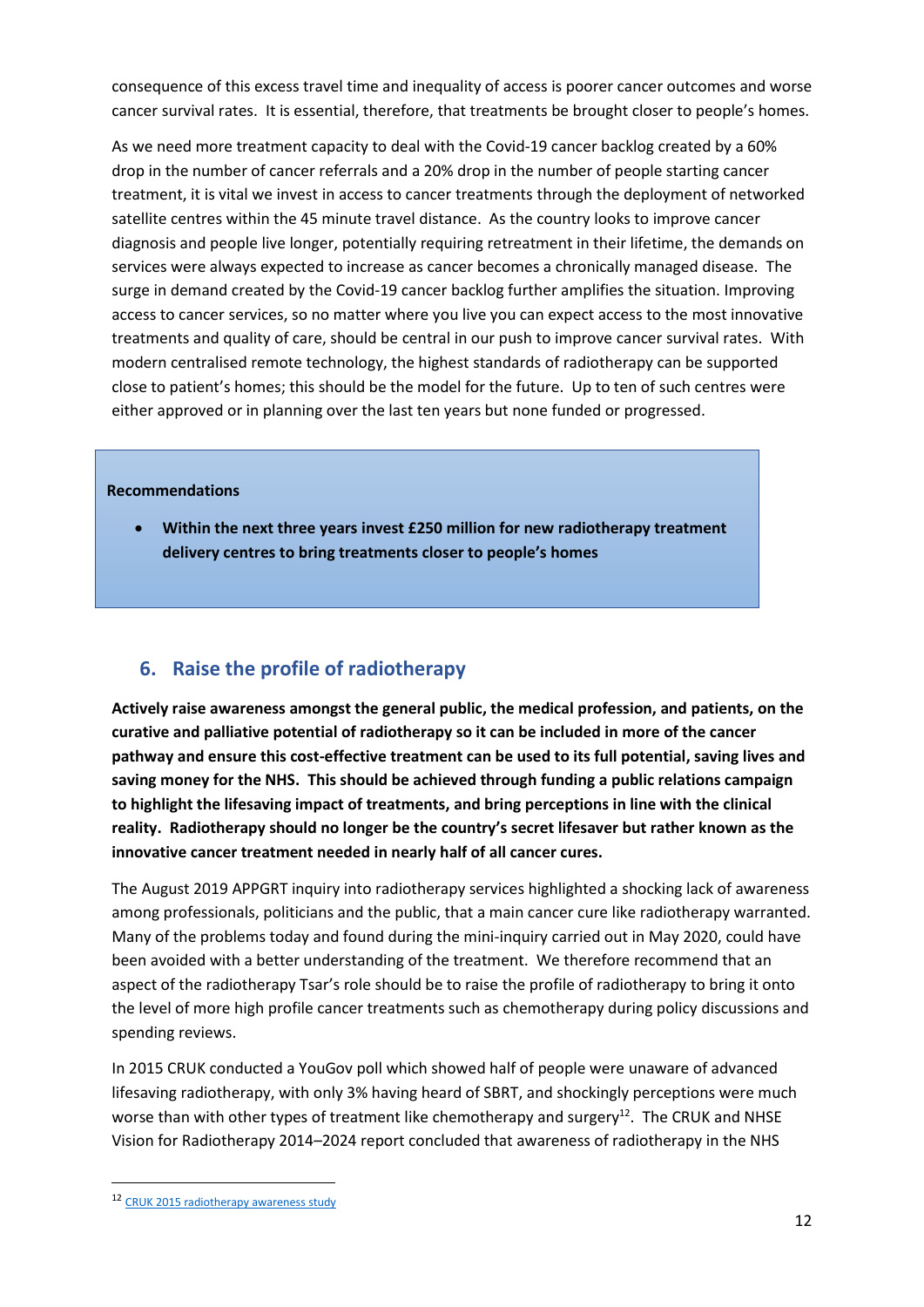consequence of this excess travel time and inequality of access is poorer cancer outcomes and worse cancer survival rates. It is essential, therefore, that treatments be brought closer to people's homes.

As we need more treatment capacity to deal with the Covid-19 cancer backlog created by a 60% drop in the number of cancer referrals and a 20% drop in the number of people starting cancer treatment, it is vital we invest in access to cancer treatments through the deployment of networked satellite centres within the 45 minute travel distance. As the country looks to improve cancer diagnosis and people live longer, potentially requiring retreatment in their lifetime, the demands on services were always expected to increase as cancer becomes a chronically managed disease. The surge in demand created by the Covid-19 cancer backlog further amplifies the situation. Improving access to cancer services, so no matter where you live you can expect access to the most innovative treatments and quality of care, should be central in our push to improve cancer survival rates. With modern centralised remote technology, the highest standards of radiotherapy can be supported close to patient's homes; this should be the model for the future. Up to ten of such centres were either approved or in planning over the last ten years but none funded or progressed.

#### **Recommendations**

• **Within the next three years invest £250 million for new radiotherapy treatment delivery centres to bring treatments closer to people's homes**

# **6. Raise the profile of radiotherapy**

**Actively raise awareness amongst the general public, the medical profession, and patients, on the curative and palliative potential of radiotherapy so it can be included in more of the cancer pathway and ensure this cost-effective treatment can be used to its full potential, saving lives and saving money for the NHS. This should be achieved through funding a public relations campaign to highlight the lifesaving impact of treatments, and bring perceptions in line with the clinical reality. Radiotherapy should no longer be the country's secret lifesaver but rather known as the innovative cancer treatment needed in nearly half of all cancer cures.** 

The August 2019 APPGRT inquiry into radiotherapy services highlighted a shocking lack of awareness among professionals, politicians and the public, that a main cancer cure like radiotherapy warranted. Many of the problems today and found during the mini-inquiry carried out in May 2020, could have been avoided with a better understanding of the treatment. We therefore recommend that an aspect of the radiotherapy Tsar's role should be to raise the profile of radiotherapy to bring it onto the level of more high profile cancer treatments such as chemotherapy during policy discussions and spending reviews.

In 2015 CRUK conducted a YouGov poll which showed half of people were unaware of advanced lifesaving radiotherapy, with only 3% having heard of SBRT, and shockingly perceptions were much worse than with other types of treatment like chemotherapy and surgery<sup>12</sup>. The CRUK and NHSE Vision for Radiotherapy 2014–2024 report concluded that awareness of radiotherapy in the NHS

<sup>12</sup> [CRUK 2015 radiotherapy awareness study](https://www.cancerresearchuk.org/about-us/cancer-news/press-release/2015-08-28-half-of-people-unaware-of-advanced-life-saving-radiotherapy)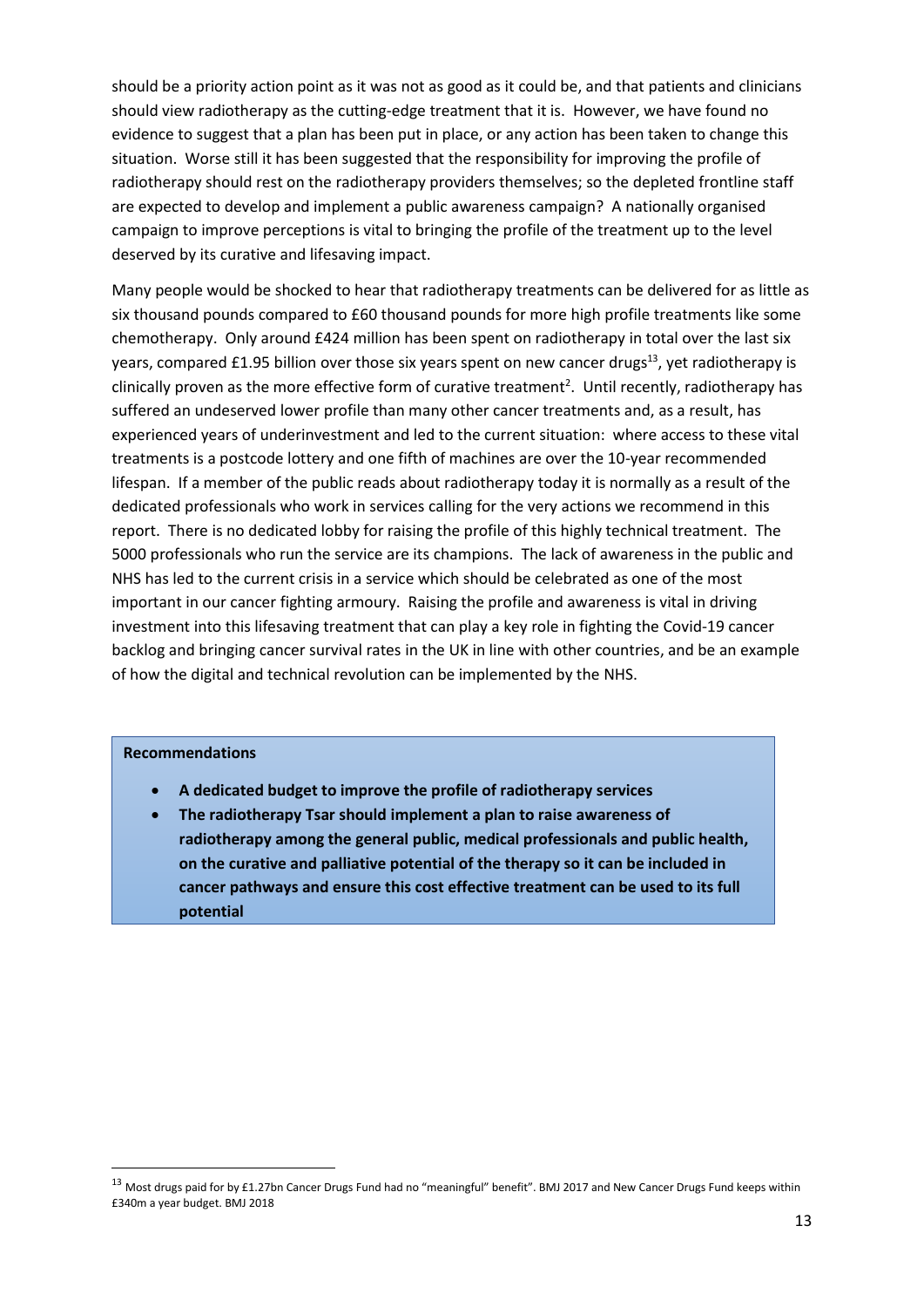should be a priority action point as it was not as good as it could be, and that patients and clinicians should view radiotherapy as the cutting-edge treatment that it is. However, we have found no evidence to suggest that a plan has been put in place, or any action has been taken to change this situation. Worse still it has been suggested that the responsibility for improving the profile of radiotherapy should rest on the radiotherapy providers themselves; so the depleted frontline staff are expected to develop and implement a public awareness campaign? A nationally organised campaign to improve perceptions is vital to bringing the profile of the treatment up to the level deserved by its curative and lifesaving impact.

Many people would be shocked to hear that radiotherapy treatments can be delivered for as little as six thousand pounds compared to £60 thousand pounds for more high profile treatments like some chemotherapy. Only around £424 million has been spent on radiotherapy in total over the last six years, compared £1.95 billion over those six years spent on new cancer drugs<sup>13</sup>, yet radiotherapy is clinically proven as the more effective form of curative treatment<sup>2</sup>. Until recently, radiotherapy has suffered an undeserved lower profile than many other cancer treatments and, as a result, has experienced years of underinvestment and led to the current situation: where access to these vital treatments is a postcode lottery and one fifth of machines are over the 10-year recommended lifespan. If a member of the public reads about radiotherapy today it is normally as a result of the dedicated professionals who work in services calling for the very actions we recommend in this report. There is no dedicated lobby for raising the profile of this highly technical treatment. The 5000 professionals who run the service are its champions. The lack of awareness in the public and NHS has led to the current crisis in a service which should be celebrated as one of the most important in our cancer fighting armoury. Raising the profile and awareness is vital in driving investment into this lifesaving treatment that can play a key role in fighting the Covid-19 cancer backlog and bringing cancer survival rates in the UK in line with other countries, and be an example of how the digital and technical revolution can be implemented by the NHS.

#### **Recommendations**

- **A dedicated budget to improve the profile of radiotherapy services**
- **The radiotherapy Tsar should implement a plan to raise awareness of radiotherapy among the general public, medical professionals and public health, on the curative and palliative potential of the therapy so it can be included in cancer pathways and ensure this cost effective treatment can be used to its full potential**

<sup>13</sup> Most drugs paid for by £1.27bn Cancer Drugs Fund had no "meaningful" benefit". BMJ 2017 and New Cancer Drugs Fund keeps within £340m a year budget. BMJ 2018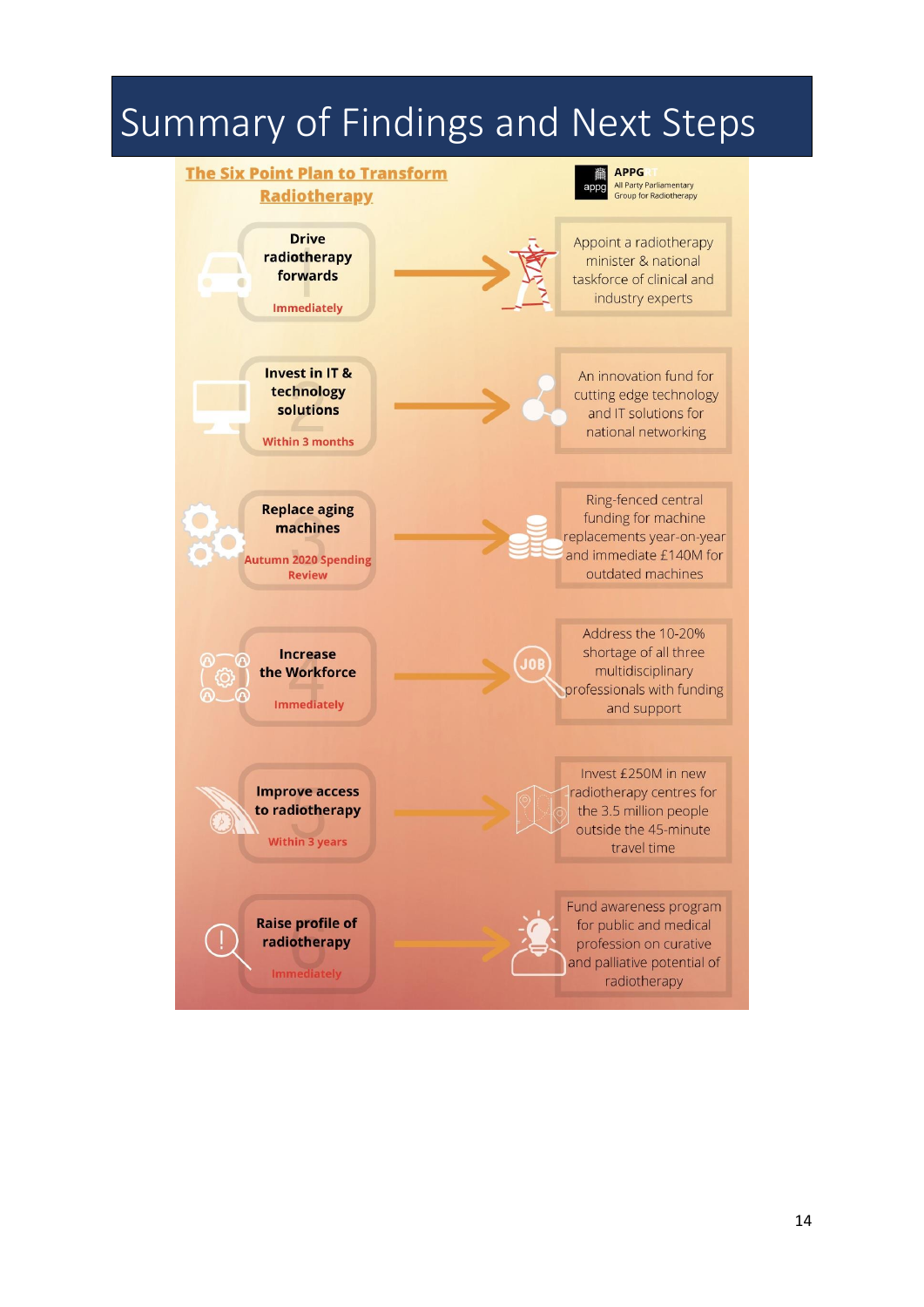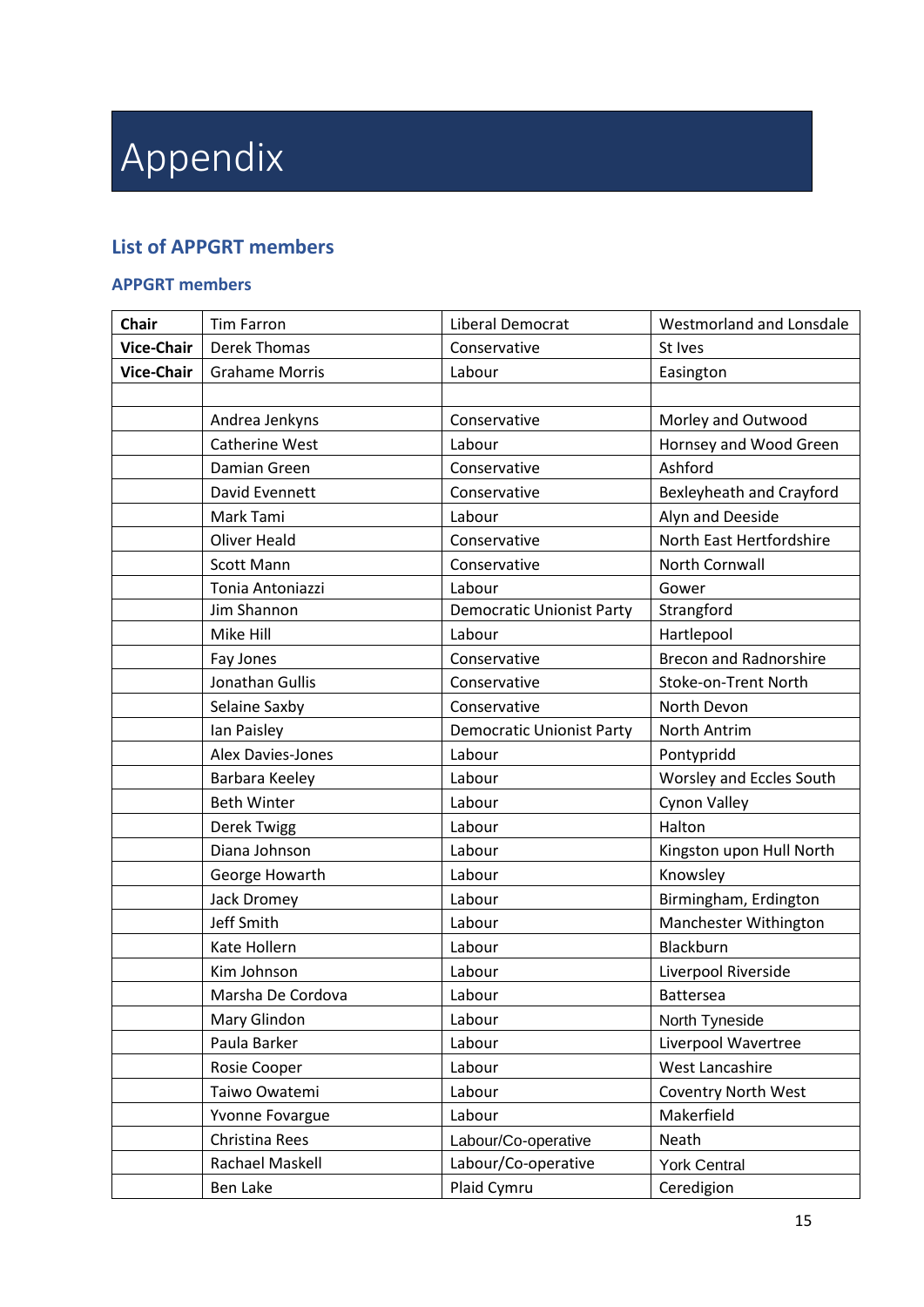# Appendix

# **List of APPGRT members**

#### **APPGRT members**

| <b>Chair</b>      | <b>Tim Farron</b>     | Liberal Democrat                 | Westmorland and Lonsdale        |
|-------------------|-----------------------|----------------------------------|---------------------------------|
| <b>Vice-Chair</b> | <b>Derek Thomas</b>   | Conservative                     | St Ives                         |
| <b>Vice-Chair</b> | <b>Grahame Morris</b> | Labour                           | Easington                       |
|                   |                       |                                  |                                 |
|                   | Andrea Jenkyns        | Conservative                     | Morley and Outwood              |
|                   | <b>Catherine West</b> | Labour                           | Hornsey and Wood Green          |
|                   | Damian Green          | Conservative                     | Ashford                         |
|                   | David Evennett        | Conservative                     | <b>Bexleyheath and Crayford</b> |
|                   | Mark Tami             | Labour                           | Alyn and Deeside                |
|                   | <b>Oliver Heald</b>   | Conservative                     | North East Hertfordshire        |
|                   | <b>Scott Mann</b>     | Conservative                     | North Cornwall                  |
|                   | Tonia Antoniazzi      | Labour                           | Gower                           |
|                   | Jim Shannon           | <b>Democratic Unionist Party</b> | Strangford                      |
|                   | Mike Hill             | Labour                           | Hartlepool                      |
|                   | Fay Jones             | Conservative                     | <b>Brecon and Radnorshire</b>   |
|                   | Jonathan Gullis       | Conservative                     | Stoke-on-Trent North            |
|                   | Selaine Saxby         | Conservative                     | North Devon                     |
|                   | Ian Paisley           | <b>Democratic Unionist Party</b> | North Antrim                    |
|                   | Alex Davies-Jones     | Labour                           | Pontypridd                      |
|                   | Barbara Keeley        | Labour                           | Worsley and Eccles South        |
|                   | <b>Beth Winter</b>    | Labour                           | Cynon Valley                    |
|                   | Derek Twigg           | Labour                           | Halton                          |
|                   | Diana Johnson         | Labour                           | Kingston upon Hull North        |
|                   | George Howarth        | Labour                           | Knowsley                        |
|                   | Jack Dromey           | Labour                           | Birmingham, Erdington           |
|                   | <b>Jeff Smith</b>     | Labour                           | Manchester Withington           |
|                   | Kate Hollern          | Labour                           | Blackburn                       |
|                   | Kim Johnson           | Labour                           | Liverpool Riverside             |
|                   | Marsha De Cordova     | Labour                           | <b>Battersea</b>                |
|                   | Mary Glindon          | Labour                           | North Tyneside                  |
|                   | Paula Barker          | Labour                           | Liverpool Wavertree             |
|                   | Rosie Cooper          | Labour                           | West Lancashire                 |
|                   | Taiwo Owatemi         | Labour                           | <b>Coventry North West</b>      |
|                   | Yvonne Fovargue       | Labour                           | Makerfield                      |
|                   | Christina Rees        | Labour/Co-operative              | Neath                           |
|                   | Rachael Maskell       | Labour/Co-operative              | <b>York Central</b>             |
|                   | Ben Lake              | Plaid Cymru                      | Ceredigion                      |